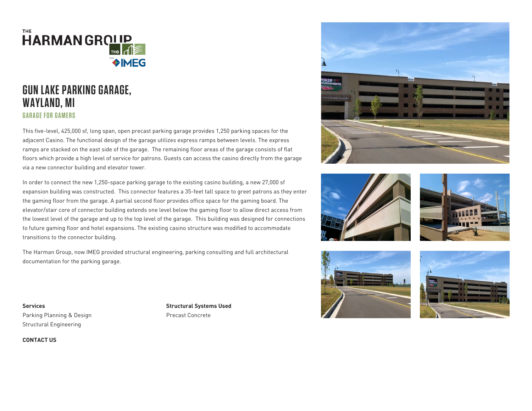

## **GUN LAKE PARKING GARAGE, WAYLAND, MI GARAGE FOR GAMERS**

This five-level, 425,000 sf, long span, open precast parking garage provides 1,250 parking spaces for the adjacent Casino. The functional design of the garage utilizes express ramps between levels. The express ramps are stacked on the east side of the garage. The remaining floor areas of the garage consists of flat floors which provide a high level of service for patrons. Guests can access the casino directly from the garage via a new connector building and elevator tower.

In order to connect the new 1,250-space parking garage to the existing casino building, a new 27,000 sf expansion building was constructed. This connector features a 35-feet tall space to greet patrons as they enter the gaming floor from the garage. A partial second floor provides office space for the gaming board. The elevator/stair core of connector building extends one level below the gaming floor to allow direct access from the lowest level of the garage and up to the top level of the garage. This building was designed for connections to future gaming floor and hotel expansions. The existing casino structure was modified to accommodate transitions to the connector building.

The Harman Group, now IMEG provided structural engineering, parking consulting and full architectural documentation for the parking garage.



Structural Systems Used Precast Concrete











CONTACT US